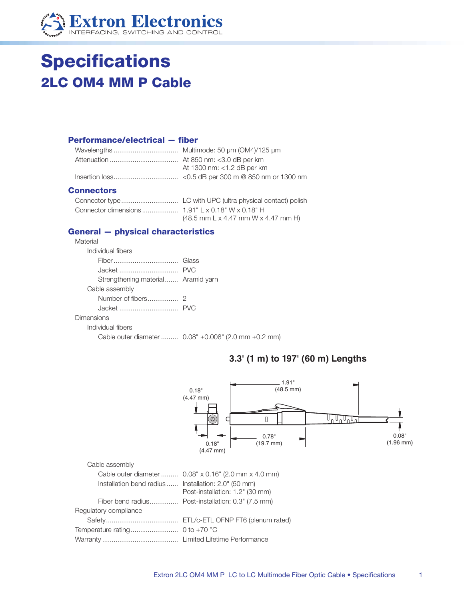

# **Specifications 2LC OM4 MM P Cable**

#### **Performance/electrical - fiber**

|  | At 1300 nm: <1.2 dB per km |
|--|----------------------------|
|  |                            |
|  |                            |

#### **Connectors**

| $(48.5$ mm L x 4.47 mm W x 4.47 mm H) |
|---------------------------------------|

### **General - physical characteristics**

| Material                           |                                                                             |
|------------------------------------|-----------------------------------------------------------------------------|
| Individual fibers                  |                                                                             |
|                                    |                                                                             |
|                                    |                                                                             |
| Strengthening material Aramid yarn |                                                                             |
| Cable assembly                     |                                                                             |
|                                    |                                                                             |
|                                    |                                                                             |
| Dimensions                         |                                                                             |
| Individual fibers                  |                                                                             |
|                                    | Cable outer diameter $0.08" \pm 0.008" (2.0 \text{ mm} \pm 0.2 \text{ mm})$ |

## 3.3' (1 m) to 197' (60 m) Lengths